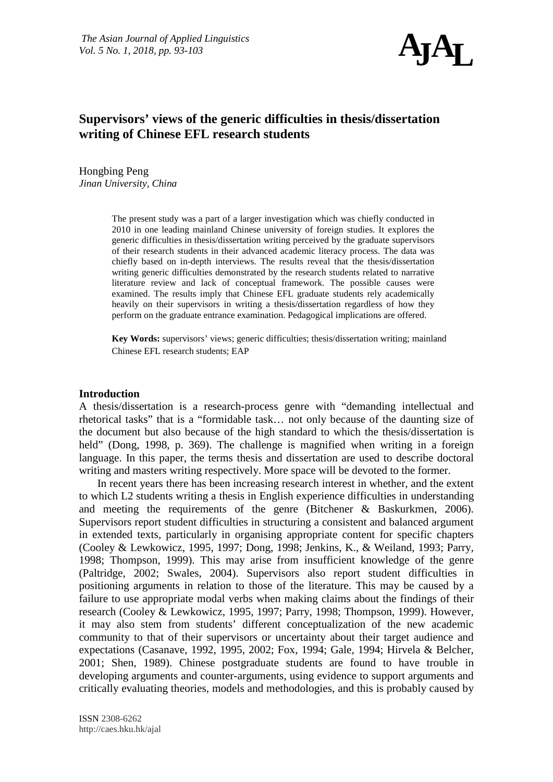

# **Supervisors' views of the generic difficulties in thesis/dissertation writing of Chinese EFL research students**

Hongbing Peng *Jinan University, China*

> The present study was a part of a larger investigation which was chiefly conducted in 2010 in one leading mainland Chinese university of foreign studies. It explores the generic difficulties in thesis/dissertation writing perceived by the graduate supervisors of their research students in their advanced academic literacy process. The data was chiefly based on in-depth interviews. The results reveal that the thesis/dissertation writing generic difficulties demonstrated by the research students related to narrative literature review and lack of conceptual framework. The possible causes were examined. The results imply that Chinese EFL graduate students rely academically heavily on their supervisors in writing a thesis/dissertation regardless of how they perform on the graduate entrance examination. Pedagogical implications are offered.

**Key Words:** supervisors' views; generic difficulties; thesis/dissertation writing; mainland Chinese EFL research students; EAP

## **Introduction**

A thesis/dissertation is a research-process genre with "demanding intellectual and rhetorical tasks" that is a "formidable task… not only because of the daunting size of the document but also because of the high standard to which the thesis/dissertation is held" [\(Dong, 1998, p. 369\)](#page-10-0). The challenge is magnified when writing in a foreign language. In this paper, the terms thesis and dissertation are used to describe doctoral writing and masters writing respectively. More space will be devoted to the former.

In recent years there has been increasing research interest in whether, and the extent to which L2 students writing a thesis in English experience difficulties in understanding and meeting the requirements of the genre [\(Bitchener & Baskurkmen, 2006\)](#page-10-1). Supervisors report student difficulties in structuring a consistent and balanced argument in extended texts, particularly in organising appropriate content for specific chapters [\(Cooley & Lewkowicz, 1995,](#page-10-2) [1997;](#page-10-3) [Dong, 1998;](#page-10-0) [Jenkins, K., & Weiland, 1993;](#page-10-4) [Parry,](#page-11-0)  [1998;](#page-11-0) [Thompson, 1999\)](#page-11-1). This may arise from insufficient knowledge of the genre [\(Paltridge, 2002;](#page-11-2) [Swales, 2004\)](#page-11-3). Supervisors also report student difficulties in positioning arguments in relation to those of the literature. This may be caused by a failure to use appropriate modal verbs when making claims about the findings of their research [\(Cooley & Lewkowicz, 1995,](#page-10-2) [1997;](#page-10-3) [Parry, 1998;](#page-11-0) [Thompson, 1999\)](#page-11-1). However, it may also stem from students' different conceptualization of the new academic community to that of their supervisors or uncertainty about their target audience and expectations [\(Casanave, 1992,](#page-10-5) [1995,](#page-10-6) [2002;](#page-10-7) [Fox, 1994;](#page-10-8) [Gale, 1994;](#page-10-9) [Hirvela & Belcher,](#page-10-10)  [2001;](#page-10-10) [Shen, 1989\)](#page-11-4). Chinese postgraduate students are found to have trouble in developing arguments and counter-arguments, using evidence to support arguments and critically evaluating theories, models and methodologies, and this is probably caused by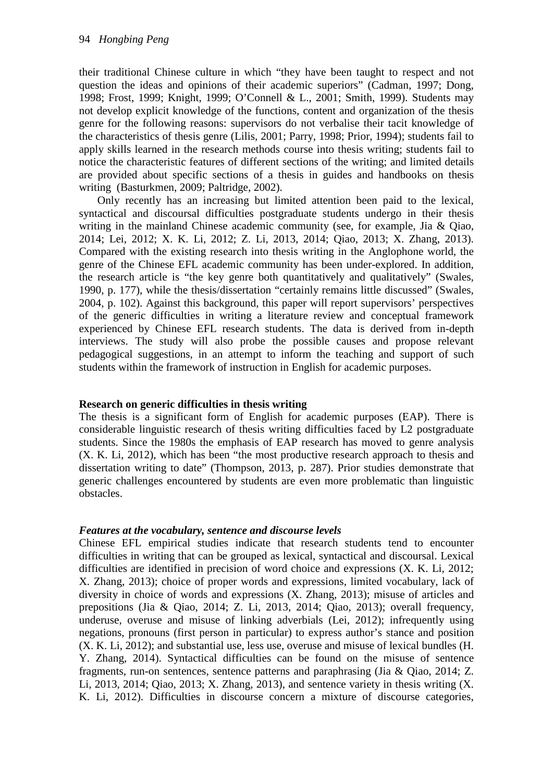their traditional Chinese culture in which "they have been taught to respect and not question the ideas and opinions of their academic superiors" [\(Cadman, 1997;](#page-10-11) [Dong,](#page-10-0)  [1998;](#page-10-0) [Frost, 1999;](#page-10-12) [Knight, 1999;](#page-10-13) [O'Connell & L., 2001;](#page-11-5) [Smith, 1999\)](#page-11-6). Students may not develop explicit knowledge of the functions, content and organization of the thesis genre for the following reasons: supervisors do not verbalise their tacit knowledge of the characteristics of thesis genre [\(Lilis, 2001;](#page-10-14) [Parry, 1998;](#page-11-0) [Prior, 1994\)](#page-11-7); students fail to apply skills learned in the research methods course into thesis writing; students fail to notice the characteristic features of different sections of the writing; and limited details are provided about specific sections of a thesis in guides and handbooks on thesis writing [\(Basturkmen, 2009;](#page-10-15) [Paltridge, 2002\)](#page-11-2).

Only recently has an increasing but limited attention been paid to the lexical, syntactical and discoursal difficulties postgraduate students undergo in their thesis writing in the mainland Chinese academic community (see, for example, Jia & Oiao, [2014;](#page-10-16) [Lei, 2012;](#page-10-17) [X. K. Li, 2012;](#page-10-18) [Z. Li, 2013,](#page-10-19) [2014;](#page-10-20) [Qiao, 2013;](#page-11-8) [X. Zhang, 2013\)](#page-11-9). Compared with the existing research into thesis writing in the Anglophone world, the genre of the Chinese EFL academic community has been under-explored. In addition, the research article is "the key genre both quantitatively and qualitatively" [\(Swales,](#page-11-10)  [1990, p. 177\)](#page-11-10), while the thesis/dissertation "certainly remains little discussed" [\(Swales,](#page-11-3)  [2004, p. 102\)](#page-11-3). Against this background, this paper will report supervisors' perspectives of the generic difficulties in writing a literature review and conceptual framework experienced by Chinese EFL research students. The data is derived from in-depth interviews. The study will also probe the possible causes and propose relevant pedagogical suggestions, in an attempt to inform the teaching and support of such students within the framework of instruction in English for academic purposes.

# **Research on generic difficulties in thesis writing**

The thesis is a significant form of English for academic purposes (EAP). There is considerable linguistic research of thesis writing difficulties faced by L2 postgraduate students. Since the 1980s the emphasis of EAP research has moved to genre analysis [\(X. K. Li, 2012\)](#page-10-18), which has been "the most productive research approach to thesis and dissertation writing to date" [\(Thompson, 2013, p. 287\)](#page-11-11). Prior studies demonstrate that generic challenges encountered by students are even more problematic than linguistic obstacles.

# *Features at the vocabulary, sentence and discourse levels*

Chinese EFL empirical studies indicate that research students tend to encounter difficulties in writing that can be grouped as lexical, syntactical and discoursal. Lexical difficulties are identified in precision of word choice and expressions [\(X. K. Li, 2012;](#page-10-18) [X. Zhang, 2013\)](#page-11-9); choice of proper words and expressions, limited vocabulary, lack of diversity in choice of words and expressions [\(X. Zhang, 2013\)](#page-11-9); misuse of articles and prepositions [\(Jia & Qiao, 2014;](#page-10-16) [Z. Li, 2013,](#page-10-19) [2014;](#page-10-20) [Qiao, 2013\)](#page-11-8); overall frequency, underuse, overuse and misuse of linking adverbials [\(Lei, 2012\)](#page-10-17); infrequently using negations, pronouns (first person in particular) to express author's stance and position [\(X. K. Li, 2012\)](#page-10-18); and substantial use, less use, overuse and misuse of lexical bundles [\(H.](#page-11-12)  [Y. Zhang, 2014\)](#page-11-12). Syntactical difficulties can be found on the misuse of sentence fragments, run-on sentences, sentence patterns and paraphrasing [\(Jia & Qiao, 2014;](#page-10-16) [Z.](#page-10-19)  [Li, 2013,](#page-10-19) [2014;](#page-10-20) [Qiao, 2013;](#page-11-8) [X. Zhang, 2013\)](#page-11-9), and sentence variety in thesis writing [\(X.](#page-10-18)  [K. Li, 2012\)](#page-10-18). Difficulties in discourse concern a mixture of discourse categories,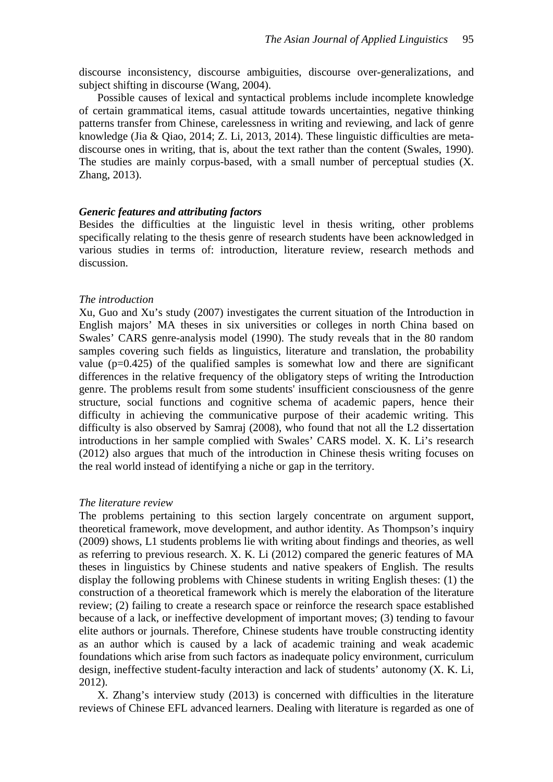discourse inconsistency, discourse ambiguities, discourse over-generalizations, and subject shifting in discourse [\(Wang, 2004\)](#page-11-13).

Possible causes of lexical and syntactical problems include incomplete knowledge of certain grammatical items, casual attitude towards uncertainties, negative thinking patterns transfer from Chinese, carelessness in writing and reviewing, and lack of genre knowledge [\(Jia & Qiao, 2014;](#page-10-16) [Z. Li, 2013,](#page-10-19) [2014\)](#page-10-20). These linguistic difficulties are metadiscourse ones in writing, that is, about the text rather than the content [\(Swales, 1990\)](#page-11-10). The studies are mainly corpus-based, with a small number of perceptual studies [\(X.](#page-11-9)  [Zhang, 2013\)](#page-11-9).

## *Generic features and attributing factors*

Besides the difficulties at the linguistic level in thesis writing, other problems specifically relating to the thesis genre of research students have been acknowledged in various studies in terms of: introduction, literature review, research methods and discussion.

## *The introduction*

Xu, Guo and Xu's study [\(2007\)](#page-11-14) investigates the current situation of the Introduction in English majors' MA theses in six universities or colleges in north China based on Swales' CARS genre-analysis model (1990). The study reveals that in the 80 random samples covering such fields as linguistics, literature and translation, the probability value  $(p=0.425)$  of the qualified samples is somewhat low and there are significant differences in the relative frequency of the obligatory steps of writing the Introduction genre. The problems result from some students' insufficient consciousness of the genre structure, social functions and cognitive schema of academic papers, hence their difficulty in achieving the communicative purpose of their academic writing. This difficulty is also observed by [Samraj \(2008\),](#page-11-15) who found that not all the L2 dissertation introductions in her sample complied with Swales' CARS model. X. K. Li's research [\(2012\)](#page-10-18) also argues that much of the introduction in Chinese thesis writing focuses on the real world instead of identifying a niche or gap in the territory.

## *The literature review*

The problems pertaining to this section largely concentrate on argument support, theoretical framework, move development, and author identity. As Thompson's inquiry [\(2009\)](#page-11-16) shows, L1 students problems lie with writing about findings and theories, as well as referring to previous research. [X. K. Li \(2012\)](#page-10-18) compared the generic features of MA theses in linguistics by Chinese students and native speakers of English. The results display the following problems with Chinese students in writing English theses: (1) the construction of a theoretical framework which is merely the elaboration of the literature review; (2) failing to create a research space or reinforce the research space established because of a lack, or ineffective development of important moves; (3) tending to favour elite authors or journals. Therefore, Chinese students have trouble constructing identity as an author which is caused by a lack of academic training and weak academic foundations which arise from such factors as inadequate policy environment, curriculum design, ineffective student-faculty interaction and lack of students' autonomy [\(X. K. Li,](#page-10-18)  [2012\)](#page-10-18).

X. Zhang's interview study [\(2013\)](#page-11-9) is concerned with difficulties in the literature reviews of Chinese EFL advanced learners. Dealing with literature is regarded as one of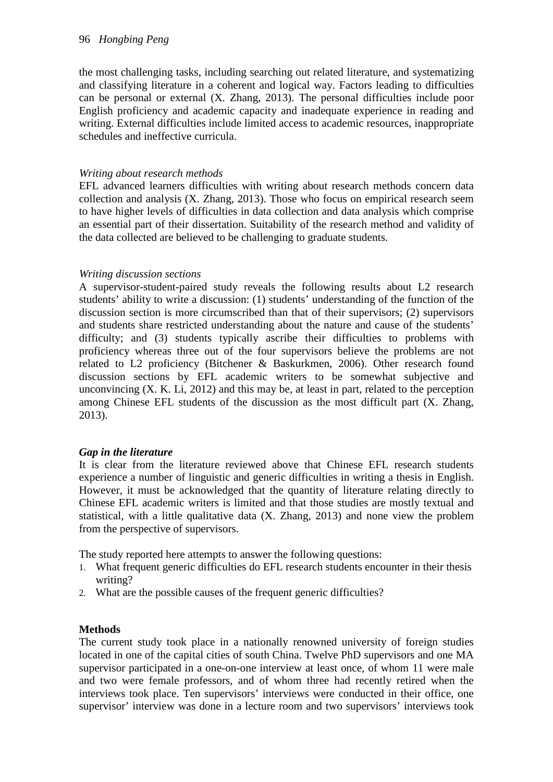the most challenging tasks, including searching out related literature, and systematizing and classifying literature in a coherent and logical way. Factors leading to difficulties can be personal or external [\(X. Zhang, 2013\)](#page-11-9). The personal difficulties include poor English proficiency and academic capacity and inadequate experience in reading and writing. External difficulties include limited access to academic resources, inappropriate schedules and ineffective curricula.

# *Writing about research methods*

EFL advanced learners difficulties with writing about research methods concern data collection and analysis [\(X. Zhang, 2013\)](#page-11-9). Those who focus on empirical research seem to have higher levels of difficulties in data collection and data analysis which comprise an essential part of their dissertation. Suitability of the research method and validity of the data collected are believed to be challenging to graduate students.

# *Writing discussion sections*

A supervisor-student-paired study reveals the following results about L2 research students' ability to write a discussion: (1) students' understanding of the function of the discussion section is more circumscribed than that of their supervisors; (2) supervisors and students share restricted understanding about the nature and cause of the students' difficulty; and (3) students typically ascribe their difficulties to problems with proficiency whereas three out of the four supervisors believe the problems are not related to L2 proficiency [\(Bitchener & Baskurkmen, 2006\)](#page-10-1). Other research found discussion sections by EFL academic writers to be somewhat subjective and unconvincing  $(X, K, Li, 2012)$  and this may be, at least in part, related to the perception among Chinese EFL students of the discussion as the most difficult part [\(X. Zhang,](#page-11-9)  [2013\)](#page-11-9).

# *Gap in the literature*

It is clear from the literature reviewed above that Chinese EFL research students experience a number of linguistic and generic difficulties in writing a thesis in English. However, it must be acknowledged that the quantity of literature relating directly to Chinese EFL academic writers is limited and that those studies are mostly textual and statistical, with a little qualitative data [\(X. Zhang, 2013\)](#page-11-9) and none view the problem from the perspective of supervisors.

The study reported here attempts to answer the following questions:

- 1. What frequent generic difficulties do EFL research students encounter in their thesis writing?
- 2. What are the possible causes of the frequent generic difficulties?

# **Methods**

The current study took place in a nationally renowned university of foreign studies located in one of the capital cities of south China. Twelve PhD supervisors and one MA supervisor participated in a one-on-one interview at least once, of whom 11 were male and two were female professors, and of whom three had recently retired when the interviews took place. Ten supervisors' interviews were conducted in their office, one supervisor' interview was done in a lecture room and two supervisors' interviews took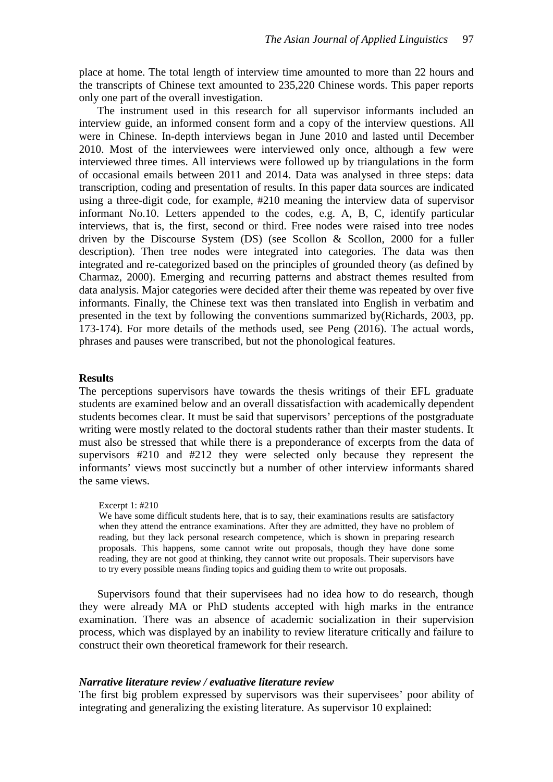place at home. The total length of interview time amounted to more than 22 hours and the transcripts of Chinese text amounted to 235,220 Chinese words. This paper reports only one part of the overall investigation.

The instrument used in this research for all supervisor informants included an interview guide, an informed consent form and a copy of the interview questions. All were in Chinese. In-depth interviews began in June 2010 and lasted until December 2010. Most of the interviewees were interviewed only once, although a few were interviewed three times. All interviews were followed up by triangulations in the form of occasional emails between 2011 and 2014. Data was analysed in three steps: data transcription, coding and presentation of results. In this paper data sources are indicated using a three-digit code, for example, #210 meaning the interview data of supervisor informant No.10. Letters appended to the codes, e.g. A, B, C, identify particular interviews, that is, the first, second or third. Free nodes were raised into tree nodes driven by the Discourse System (DS) [\(see Scollon & Scollon, 2000 for a fuller](#page-11-17)  [description\)](#page-11-17). Then tree nodes were integrated into categories. The data was then integrated and re-categorized based on the principles of grounded theory [\(as defined by](#page-10-21)  [Charmaz, 2000\)](#page-10-21). Emerging and recurring patterns and abstract themes resulted from data analysis. Major categories were decided after their theme was repeated by over five informants. Finally, the Chinese text was then translated into English in verbatim and presented in the text by following the conventions summarized by[\(Richards, 2003, pp.](#page-11-18)  [173-174\)](#page-11-18). For more details of the methods used, see Peng (2016). The actual words, phrases and pauses were transcribed, but not the phonological features.

## **Results**

The perceptions supervisors have towards the thesis writings of their EFL graduate students are examined below and an overall dissatisfaction with academically dependent students becomes clear. It must be said that supervisors' perceptions of the postgraduate writing were mostly related to the doctoral students rather than their master students. It must also be stressed that while there is a preponderance of excerpts from the data of supervisors #210 and #212 they were selected only because they represent the informants' views most succinctly but a number of other interview informants shared the same views.

#### Excerpt 1: #210

We have some difficult students here, that is to say, their examinations results are satisfactory when they attend the entrance examinations. After they are admitted, they have no problem of reading, but they lack personal research competence, which is shown in preparing research proposals. This happens, some cannot write out proposals, though they have done some reading, they are not good at thinking, they cannot write out proposals. Their supervisors have to try every possible means finding topics and guiding them to write out proposals.

Supervisors found that their supervisees had no idea how to do research, though they were already MA or PhD students accepted with high marks in the entrance examination. There was an absence of academic socialization in their supervision process, which was displayed by an inability to review literature critically and failure to construct their own theoretical framework for their research.

## *Narrative literature review / evaluative literature review*

The first big problem expressed by supervisors was their supervisees' poor ability of integrating and generalizing the existing literature. As supervisor 10 explained: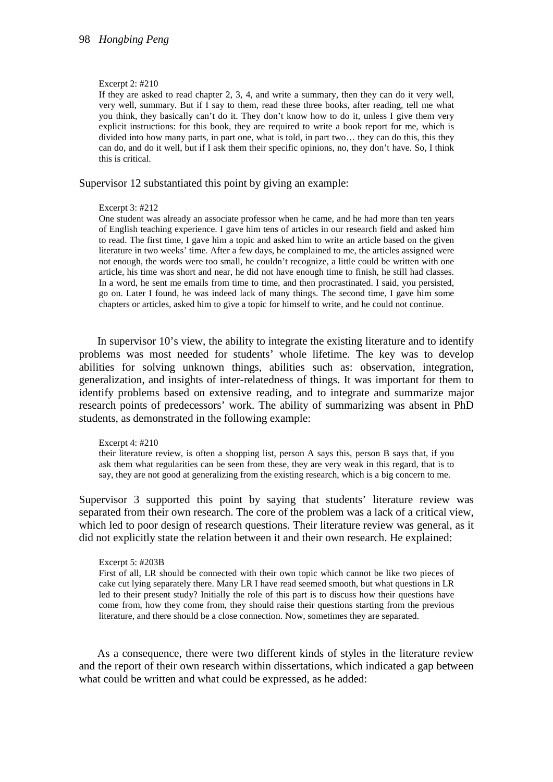### Excerpt 2: #210

If they are asked to read chapter 2, 3, 4, and write a summary, then they can do it very well, very well, summary. But if I say to them, read these three books, after reading, tell me what you think, they basically can't do it. They don't know how to do it, unless I give them very explicit instructions: for this book, they are required to write a book report for me, which is divided into how many parts, in part one, what is told, in part two… they can do this, this they can do, and do it well, but if I ask them their specific opinions, no, they don't have. So, I think this is critical.

Supervisor 12 substantiated this point by giving an example:

### Excerpt 3: #212

One student was already an associate professor when he came, and he had more than ten years of English teaching experience. I gave him tens of articles in our research field and asked him to read. The first time, I gave him a topic and asked him to write an article based on the given literature in two weeks' time. After a few days, he complained to me, the articles assigned were not enough, the words were too small, he couldn't recognize, a little could be written with one article, his time was short and near, he did not have enough time to finish, he still had classes. In a word, he sent me emails from time to time, and then procrastinated. I said, you persisted, go on. Later I found, he was indeed lack of many things. The second time, I gave him some chapters or articles, asked him to give a topic for himself to write, and he could not continue.

In supervisor 10's view, the ability to integrate the existing literature and to identify problems was most needed for students' whole lifetime. The key was to develop abilities for solving unknown things, abilities such as: observation, integration, generalization, and insights of inter-relatedness of things. It was important for them to identify problems based on extensive reading, and to integrate and summarize major research points of predecessors' work. The ability of summarizing was absent in PhD students, as demonstrated in the following example:

#### Excerpt 4: #210

their literature review, is often a shopping list, person A says this, person B says that, if you ask them what regularities can be seen from these, they are very weak in this regard, that is to say, they are not good at generalizing from the existing research, which is a big concern to me.

Supervisor 3 supported this point by saying that students' literature review was separated from their own research. The core of the problem was a lack of a critical view, which led to poor design of research questions. Their literature review was general, as it did not explicitly state the relation between it and their own research. He explained:

#### Excerpt 5: #203B

First of all, LR should be connected with their own topic which cannot be like two pieces of cake cut lying separately there. Many LR I have read seemed smooth, but what questions in LR led to their present study? Initially the role of this part is to discuss how their questions have come from, how they come from, they should raise their questions starting from the previous literature, and there should be a close connection. Now, sometimes they are separated.

As a consequence, there were two different kinds of styles in the literature review and the report of their own research within dissertations, which indicated a gap between what could be written and what could be expressed, as he added: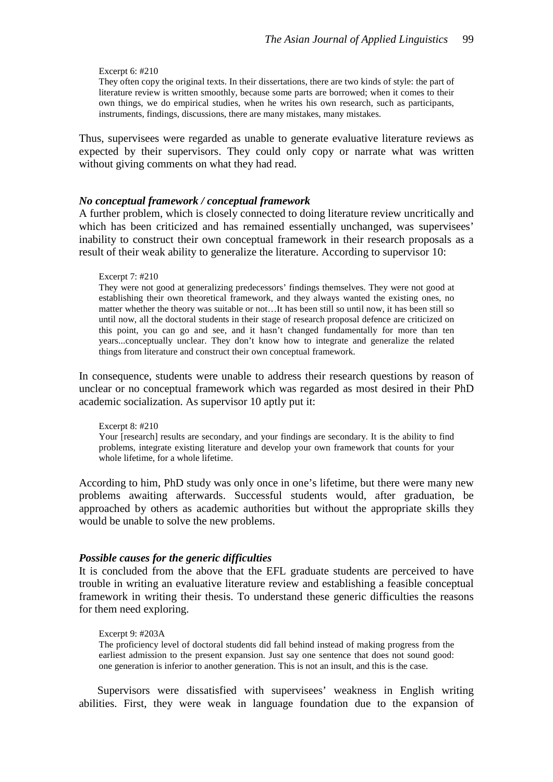### Excerpt 6: #210

They often copy the original texts. In their dissertations, there are two kinds of style: the part of literature review is written smoothly, because some parts are borrowed; when it comes to their own things, we do empirical studies, when he writes his own research, such as participants, instruments, findings, discussions, there are many mistakes, many mistakes.

Thus, supervisees were regarded as unable to generate evaluative literature reviews as expected by their supervisors. They could only copy or narrate what was written without giving comments on what they had read.

## *No conceptual framework / conceptual framework*

A further problem, which is closely connected to doing literature review uncritically and which has been criticized and has remained essentially unchanged, was supervisees' inability to construct their own conceptual framework in their research proposals as a result of their weak ability to generalize the literature. According to supervisor 10:

### Excerpt 7: #210

They were not good at generalizing predecessors' findings themselves. They were not good at establishing their own theoretical framework, and they always wanted the existing ones, no matter whether the theory was suitable or not…It has been still so until now, it has been still so until now, all the doctoral students in their stage of research proposal defence are criticized on this point, you can go and see, and it hasn't changed fundamentally for more than ten years...conceptually unclear. They don't know how to integrate and generalize the related things from literature and construct their own conceptual framework.

In consequence, students were unable to address their research questions by reason of unclear or no conceptual framework which was regarded as most desired in their PhD academic socialization. As supervisor 10 aptly put it:

Excerpt 8: #210 Your [research] results are secondary, and your findings are secondary. It is the ability to find problems, integrate existing literature and develop your own framework that counts for your whole lifetime, for a whole lifetime.

According to him, PhD study was only once in one's lifetime, but there were many new problems awaiting afterwards. Successful students would, after graduation, be approached by others as academic authorities but without the appropriate skills they would be unable to solve the new problems.

## *Possible causes for the generic difficulties*

It is concluded from the above that the EFL graduate students are perceived to have trouble in writing an evaluative literature review and establishing a feasible conceptual framework in writing their thesis. To understand these generic difficulties the reasons for them need exploring.

### Excerpt 9: #203A

The proficiency level of doctoral students did fall behind instead of making progress from the earliest admission to the present expansion. Just say one sentence that does not sound good: one generation is inferior to another generation. This is not an insult, and this is the case.

Supervisors were dissatisfied with supervisees' weakness in English writing abilities. First, they were weak in language foundation due to the expansion of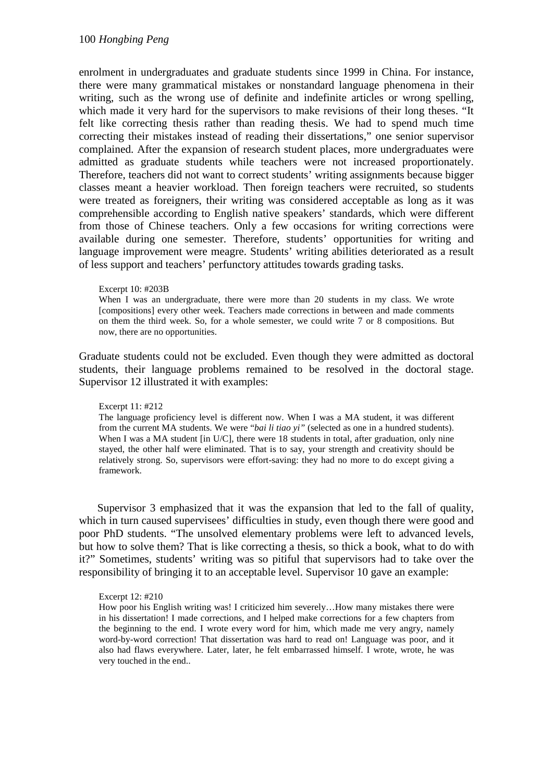enrolment in undergraduates and graduate students since 1999 in China. For instance, there were many grammatical mistakes or nonstandard language phenomena in their writing, such as the wrong use of definite and indefinite articles or wrong spelling, which made it very hard for the supervisors to make revisions of their long theses. "It felt like correcting thesis rather than reading thesis. We had to spend much time correcting their mistakes instead of reading their dissertations," one senior supervisor complained. After the expansion of research student places, more undergraduates were admitted as graduate students while teachers were not increased proportionately. Therefore, teachers did not want to correct students' writing assignments because bigger classes meant a heavier workload. Then foreign teachers were recruited, so students were treated as foreigners, their writing was considered acceptable as long as it was comprehensible according to English native speakers' standards, which were different from those of Chinese teachers. Only a few occasions for writing corrections were available during one semester. Therefore, students' opportunities for writing and language improvement were meagre. Students' writing abilities deteriorated as a result of less support and teachers' perfunctory attitudes towards grading tasks.

### Excerpt 10: #203B

When I was an undergraduate, there were more than 20 students in my class. We wrote [compositions] every other week. Teachers made corrections in between and made comments on them the third week. So, for a whole semester, we could write 7 or 8 compositions. But now, there are no opportunities.

Graduate students could not be excluded. Even though they were admitted as doctoral students, their language problems remained to be resolved in the doctoral stage. Supervisor 12 illustrated it with examples:

## Excerpt 11: #212

The language proficiency level is different now. When I was a MA student, it was different from the current MA students. We were "*bai li tiao yi"* (selected as one in a hundred students). When I was a MA student [in  $U/C$ ], there were 18 students in total, after graduation, only nine stayed, the other half were eliminated. That is to say, your strength and creativity should be relatively strong. So, supervisors were effort-saving: they had no more to do except giving a framework.

Supervisor 3 emphasized that it was the expansion that led to the fall of quality, which in turn caused supervisees' difficulties in study, even though there were good and poor PhD students. "The unsolved elementary problems were left to advanced levels, but how to solve them? That is like correcting a thesis, so thick a book, what to do with it?" Sometimes, students' writing was so pitiful that supervisors had to take over the responsibility of bringing it to an acceptable level. Supervisor 10 gave an example:

## Excerpt 12: #210

How poor his English writing was! I criticized him severely…How many mistakes there were in his dissertation! I made corrections, and I helped make corrections for a few chapters from the beginning to the end. I wrote every word for him, which made me very angry, namely word-by-word correction! That dissertation was hard to read on! Language was poor, and it also had flaws everywhere. Later, later, he felt embarrassed himself. I wrote, wrote, he was very touched in the end..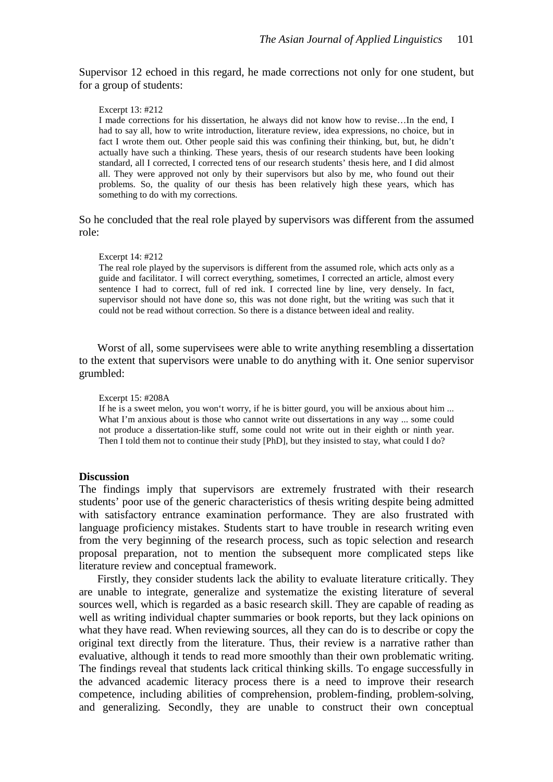Supervisor 12 echoed in this regard, he made corrections not only for one student, but for a group of students:

Excerpt 13: #212

I made corrections for his dissertation, he always did not know how to revise…In the end, I had to say all, how to write introduction, literature review, idea expressions, no choice, but in fact I wrote them out. Other people said this was confining their thinking, but, but, he didn't actually have such a thinking. These years, thesis of our research students have been looking standard, all I corrected, I corrected tens of our research students' thesis here, and I did almost all. They were approved not only by their supervisors but also by me, who found out their problems. So, the quality of our thesis has been relatively high these years, which has something to do with my corrections.

So he concluded that the real role played by supervisors was different from the assumed role:

#### Excerpt 14: #212

The real role played by the supervisors is different from the assumed role, which acts only as a guide and facilitator. I will correct everything, sometimes, I corrected an article, almost every sentence I had to correct, full of red ink. I corrected line by line, very densely. In fact, supervisor should not have done so, this was not done right, but the writing was such that it could not be read without correction. So there is a distance between ideal and reality.

Worst of all, some supervisees were able to write anything resembling a dissertation to the extent that supervisors were unable to do anything with it. One senior supervisor grumbled:

### Excerpt 15: #208A

If he is a sweet melon, you won't worry, if he is bitter gourd, you will be anxious about him ... What I'm anxious about is those who cannot write out dissertations in any way ... some could not produce a dissertation-like stuff, some could not write out in their eighth or ninth year. Then I told them not to continue their study [PhD], but they insisted to stay, what could I do?

### **Discussion**

The findings imply that supervisors are extremely frustrated with their research students' poor use of the generic characteristics of thesis writing despite being admitted with satisfactory entrance examination performance. They are also frustrated with language proficiency mistakes. Students start to have trouble in research writing even from the very beginning of the research process, such as topic selection and research proposal preparation, not to mention the subsequent more complicated steps like literature review and conceptual framework.

Firstly, they consider students lack the ability to evaluate literature critically. They are unable to integrate, generalize and systematize the existing literature of several sources well, which is regarded as a basic research skill. They are capable of reading as well as writing individual chapter summaries or book reports, but they lack opinions on what they have read. When reviewing sources, all they can do is to describe or copy the original text directly from the literature. Thus, their review is a narrative rather than evaluative, although it tends to read more smoothly than their own problematic writing. The findings reveal that students lack critical thinking skills. To engage successfully in the advanced academic literacy process there is a need to improve their research competence, including abilities of comprehension, problem-finding, problem-solving, and generalizing. Secondly, they are unable to construct their own conceptual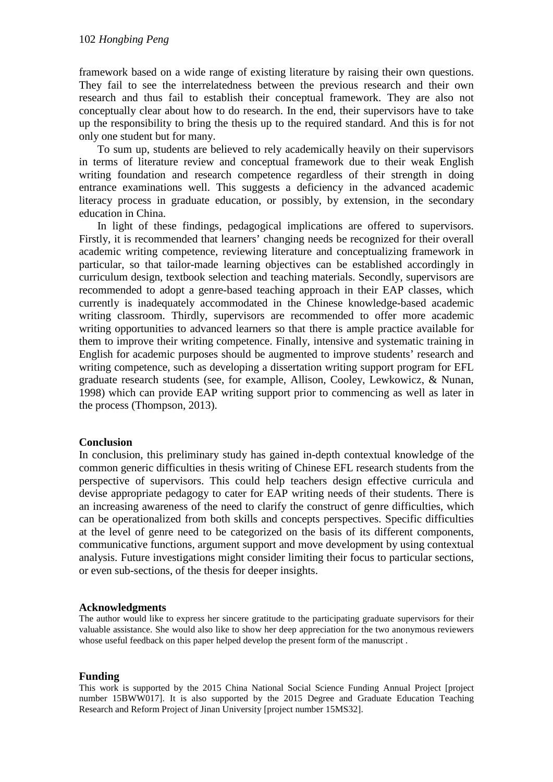framework based on a wide range of existing literature by raising their own questions. They fail to see the interrelatedness between the previous research and their own research and thus fail to establish their conceptual framework. They are also not conceptually clear about how to do research. In the end, their supervisors have to take up the responsibility to bring the thesis up to the required standard. And this is for not only one student but for many.

To sum up, students are believed to rely academically heavily on their supervisors in terms of literature review and conceptual framework due to their weak English writing foundation and research competence regardless of their strength in doing entrance examinations well. This suggests a deficiency in the advanced academic literacy process in graduate education, or possibly, by extension, in the secondary education in China.

In light of these findings, pedagogical implications are offered to supervisors. Firstly, it is recommended that learners' changing needs be recognized for their overall academic writing competence, reviewing literature and conceptualizing framework in particular, so that tailor-made learning objectives can be established accordingly in curriculum design, textbook selection and teaching materials. Secondly, supervisors are recommended to adopt a genre-based teaching approach in their EAP classes, which currently is inadequately accommodated in the Chinese knowledge-based academic writing classroom. Thirdly, supervisors are recommended to offer more academic writing opportunities to advanced learners so that there is ample practice available for them to improve their writing competence. Finally, intensive and systematic training in English for academic purposes should be augmented to improve students' research and writing competence, such as developing a dissertation writing support program for EFL graduate research students [\(see, for example, Allison, Cooley, Lewkowicz, & Nunan,](#page-10-22)  [1998\)](#page-10-22) which can provide EAP writing support prior to commencing as well as later in the process [\(Thompson, 2013\)](#page-11-11).

# **Conclusion**

In conclusion, this preliminary study has gained in-depth contextual knowledge of the common generic difficulties in thesis writing of Chinese EFL research students from the perspective of supervisors. This could help teachers design effective curricula and devise appropriate pedagogy to cater for EAP writing needs of their students. There is an increasing awareness of the need to clarify the construct of genre difficulties, which can be operationalized from both skills and concepts perspectives. Specific difficulties at the level of genre need to be categorized on the basis of its different components, communicative functions, argument support and move development by using contextual analysis. Future investigations might consider limiting their focus to particular sections, or even sub-sections, of the thesis for deeper insights.

# **Acknowledgments**

The author would like to express her sincere gratitude to the participating graduate supervisors for their valuable assistance. She would also like to show her deep appreciation for the two anonymous reviewers whose useful feedback on this paper helped develop the present form of the manuscript .

# **Funding**

This work is supported by the 2015 China National Social Science Funding Annual Project [project number 15BWW017]. It is also supported by the 2015 Degree and Graduate Education Teaching Research and Reform Project of Jinan University [project number 15MS32].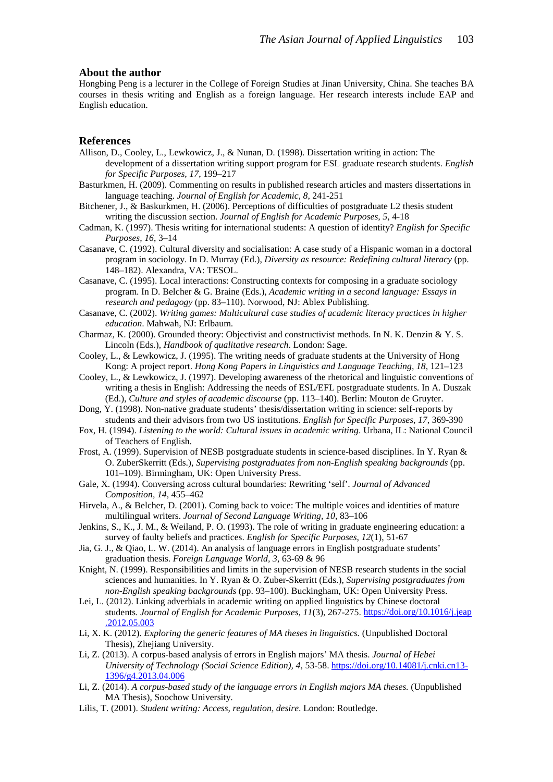### **About the author**

Hongbing Peng is a lecturer in the College of Foreign Studies at Jinan University, China. She teaches BA courses in thesis writing and English as a foreign language. Her research interests include EAP and English education.

### **References**

- <span id="page-10-22"></span>Allison, D., Cooley, L., Lewkowicz, J., & Nunan, D. (1998). Dissertation writing in action: The development of a dissertation writing support program for ESL graduate research students. *English for Specific Purposes, 17*, 199–217
- <span id="page-10-15"></span>Basturkmen, H. (2009). Commenting on results in published research articles and masters dissertations in language teaching. *Journal of English for Academic, 8*, 241-251
- <span id="page-10-1"></span>Bitchener, J., & Baskurkmen, H. (2006). Perceptions of difficulties of postgraduate L2 thesis student writing the discussion section. *Journal of English for Academic Purposes, 5*, 4-18
- <span id="page-10-11"></span>Cadman, K. (1997). Thesis writing for international students: A question of identity? *English for Specific Purposes, 16*, 3–14
- <span id="page-10-5"></span>Casanave, C. (1992). Cultural diversity and socialisation: A case study of a Hispanic woman in a doctoral program in sociology. In D. Murray (Ed.), *Diversity as resource: Redefining cultural literacy* (pp. 148–182). Alexandra, VA: TESOL.
- <span id="page-10-6"></span>Casanave, C. (1995). Local interactions: Constructing contexts for composing in a graduate sociology program. In D. Belcher & G. Braine (Eds.), *Academic writing in a second language: Essays in research and pedagogy* (pp. 83–110). Norwood, NJ: Ablex Publishing.
- <span id="page-10-7"></span>Casanave, C. (2002). *Writing games: Multicultural case studies of academic literacy practices in higher education*. Mahwah, NJ: Erlbaum.
- <span id="page-10-21"></span>Charmaz, K. (2000). Grounded theory: Objectivist and constructivist methods. In N. K. Denzin & Y. S. Lincoln (Eds.), *Handbook of qualitative research*. London: Sage.
- <span id="page-10-2"></span>Cooley, L., & Lewkowicz, J. (1995). The writing needs of graduate students at the University of Hong Kong: A project report. *Hong Kong Papers in Linguistics and Language Teaching, 18*, 121–123
- <span id="page-10-3"></span>Cooley, L., & Lewkowicz, J. (1997). Developing awareness of the rhetorical and linguistic conventions of writing a thesis in English: Addressing the needs of ESL/EFL postgraduate students. In A. Duszak (Ed.), *Culture and styles of academic discourse* (pp. 113–140). Berlin: Mouton de Gruyter.
- <span id="page-10-0"></span>Dong, Y. (1998). Non-native graduate students' thesis/dissertation writing in science: self-reports by students and their advisors from two US institutions. *English for Specific Purposes, 17*, 369-390
- <span id="page-10-8"></span>Fox, H. (1994). *Listening to the world: Cultural issues in academic writing*. Urbana, IL: National Council of Teachers of English.
- <span id="page-10-12"></span>Frost, A. (1999). Supervision of NESB postgraduate students in science-based disciplines. In Y. Ryan & O. ZuberSkerritt (Eds.), *Supervising postgraduates from non-English speaking backgrounds* (pp. 101–109). Birmingham, UK: Open University Press.
- <span id="page-10-9"></span>Gale, X. (1994). Conversing across cultural boundaries: Rewriting 'self'. *Journal of Advanced Composition, 14*, 455–462
- <span id="page-10-10"></span>Hirvela, A., & Belcher, D. (2001). Coming back to voice: The multiple voices and identities of mature multilingual writers. *Journal of Second Language Writing, 10*, 83–106
- <span id="page-10-4"></span>Jenkins, S., K., J. M., & Weiland, P. O. (1993). The role of writing in graduate engineering education: a survey of faulty beliefs and practices. *English for Specific Purposes, 12*(1), 51-67
- <span id="page-10-16"></span>Jia, G. J., & Qiao, L. W. (2014). An analysis of language errors in English postgraduate students' graduation thesis. *Foreign Language World, 3*, 63-69 & 96
- <span id="page-10-13"></span>Knight, N. (1999). Responsibilities and limits in the supervision of NESB research students in the social sciences and humanities. In Y. Ryan & O. Zuber-Skerritt (Eds.), *Supervising postgraduates from non-English speaking backgrounds* (pp. 93–100). Buckingham, UK: Open University Press.
- <span id="page-10-17"></span>Lei, L. (2012). Linking adverbials in academic writing on applied linguistics by Chinese doctoral students. *Journal of English for Academic Purposes, 11*(3), 267-275. [https://doi.org/10.1016/j.jeap](https://doi.org/10.1016/j.jeap.2012.05.003) [.2012.05.003](https://doi.org/10.1016/j.jeap.2012.05.003)
- <span id="page-10-18"></span>Li, X. K. (2012). *Exploring the generic features of MA theses in linguistics.* (Unpublished Doctoral Thesis), Zhejiang University.
- <span id="page-10-19"></span>Li, Z. (2013). A corpus-based analysis of errors in English majors' MA thesis. *Journal of Hebei University of Technology (Social Science Edition), 4*, 53-58. [https://doi.org/10.14081/j.cnki.cn13-](https://doi.org/10.14081/j.cnki.cn13-1396/g4.2013.04.006) [1396/g4.2013.04.006](https://doi.org/10.14081/j.cnki.cn13-1396/g4.2013.04.006)
- <span id="page-10-20"></span>Li, Z. (2014). *A corpus-based study of the language errors in English majors MA theses.* (Unpublished MA Thesis), Soochow University.
- <span id="page-10-14"></span>Lilis, T. (2001). *Student writing: Access, regulation, desire*. London: Routledge.